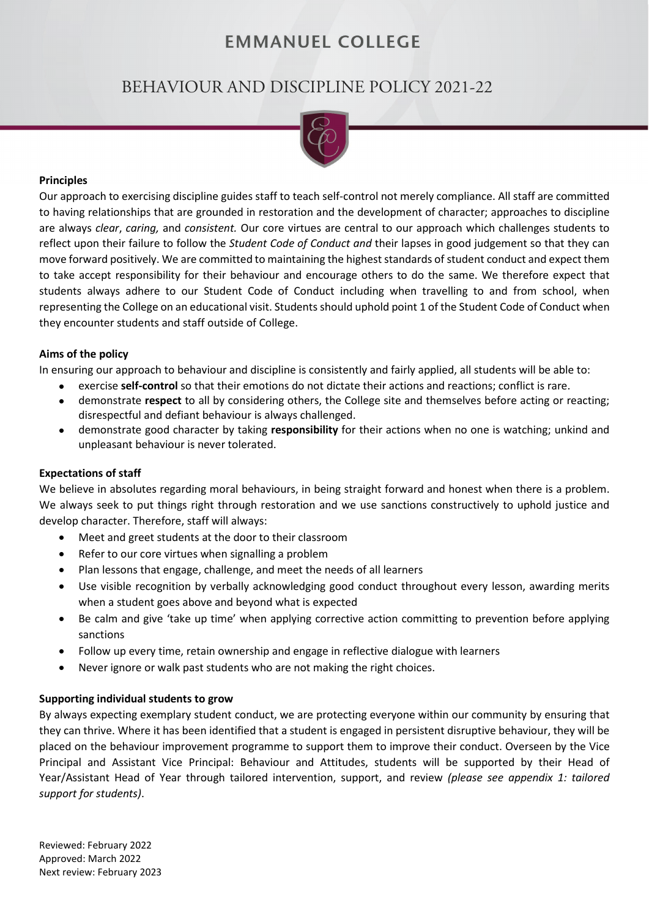# **EMMANUEL COLLEGE**

# BEHAVIOUR AND DISCIPLINE POLICY 2021-22



#### **Principles**

Our approach to exercising discipline guides staff to teach self-control not merely compliance. All staff are committed to having relationships that are grounded in restoration and the development of character; approaches to discipline are always *clear*, *caring,* and *consistent.* Our core virtues are central to our approach which challenges students to reflect upon their failure to follow the *Student Code of Conduct and* their lapses in good judgement so that they can move forward positively. We are committed to maintaining the highest standards of student conduct and expect them to take accept responsibility for their behaviour and encourage others to do the same. We therefore expect that students always adhere to our Student Code of Conduct including when travelling to and from school, when representing the College on an educational visit. Students should uphold point 1 of the Student Code of Conduct when they encounter students and staff outside of College.

### **Aims of the policy**

In ensuring our approach to behaviour and discipline is consistently and fairly applied, all students will be able to:

- exercise **self-control** so that their emotions do not dictate their actions and reactions; conflict is rare.
- demonstrate **respect** to all by considering others, the College site and themselves before acting or reacting; disrespectful and defiant behaviour is always challenged.
- demonstrate good character by taking **responsibility** for their actions when no one is watching; unkind and unpleasant behaviour is never tolerated.

#### **Expectations of staff**

We believe in absolutes regarding moral behaviours, in being straight forward and honest when there is a problem. We always seek to put things right through restoration and we use sanctions constructively to uphold justice and develop character. Therefore, staff will always:

- Meet and greet students at the door to their classroom
- Refer to our core virtues when signalling a problem
- Plan lessons that engage, challenge, and meet the needs of all learners
- Use visible recognition by verbally acknowledging good conduct throughout every lesson, awarding merits when a student goes above and beyond what is expected
- Be calm and give 'take up time' when applying corrective action committing to prevention before applying sanctions
- Follow up every time, retain ownership and engage in reflective dialogue with learners
- Never ignore or walk past students who are not making the right choices.

#### **Supporting individual students to grow**

By always expecting exemplary student conduct, we are protecting everyone within our community by ensuring that they can thrive. Where it has been identified that a student is engaged in persistent disruptive behaviour, they will be placed on the behaviour improvement programme to support them to improve their conduct. Overseen by the Vice Principal and Assistant Vice Principal: Behaviour and Attitudes, students will be supported by their Head of Year/Assistant Head of Year through tailored intervention, support, and review *(please see appendix 1: tailored support for students)*.

Reviewed: February 2022 Approved: March 2022 Next review: February 2023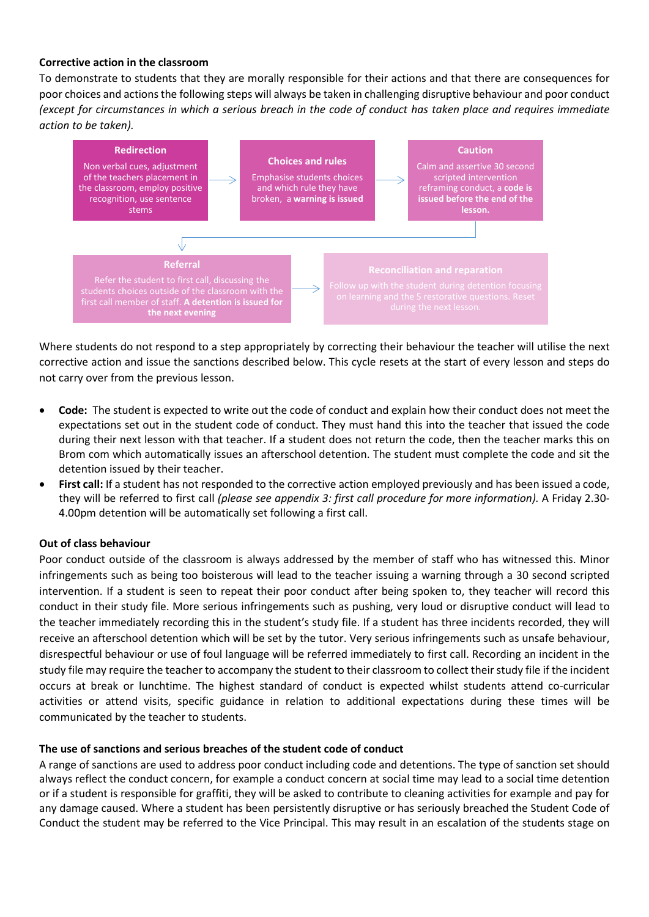#### **Corrective action in the classroom**

To demonstrate to students that they are morally responsible for their actions and that there are consequences for poor choices and actions the following steps will always be taken in challenging disruptive behaviour and poor conduct *(except for circumstances in which a serious breach in the code of conduct has taken place and requires immediate action to be taken).* 



Where students do not respond to a step appropriately by correcting their behaviour the teacher will utilise the next corrective action and issue the sanctions described below. This cycle resets at the start of every lesson and steps do not carry over from the previous lesson.

- **Code:** The student is expected to write out the code of conduct and explain how their conduct does not meet the expectations set out in the student code of conduct. They must hand this into the teacher that issued the code during their next lesson with that teacher. If a student does not return the code, then the teacher marks this on Brom com which automatically issues an afterschool detention. The student must complete the code and sit the detention issued by their teacher.
- **First call:** If a student has not responded to the corrective action employed previously and has been issued a code, they will be referred to first call *(please see appendix 3: first call procedure for more information).* A Friday 2.30- 4.00pm detention will be automatically set following a first call.

## **Out of class behaviour**

Poor conduct outside of the classroom is always addressed by the member of staff who has witnessed this. Minor infringements such as being too boisterous will lead to the teacher issuing a warning through a 30 second scripted intervention. If a student is seen to repeat their poor conduct after being spoken to, they teacher will record this conduct in their study file. More serious infringements such as pushing, very loud or disruptive conduct will lead to the teacher immediately recording this in the student's study file. If a student has three incidents recorded, they will receive an afterschool detention which will be set by the tutor. Very serious infringements such as unsafe behaviour, disrespectful behaviour or use of foul language will be referred immediately to first call. Recording an incident in the study file may require the teacher to accompany the student to their classroom to collect their study file if the incident occurs at break or lunchtime. The highest standard of conduct is expected whilst students attend co-curricular activities or attend visits, specific guidance in relation to additional expectations during these times will be communicated by the teacher to students.

#### **The use of sanctions and serious breaches of the student code of conduct**

A range of sanctions are used to address poor conduct including code and detentions. The type of sanction set should always reflect the conduct concern, for example a conduct concern at social time may lead to a social time detention or if a student is responsible for graffiti, they will be asked to contribute to cleaning activities for example and pay for any damage caused. Where a student has been persistently disruptive or has seriously breached the Student Code of Conduct the student may be referred to the Vice Principal. This may result in an escalation of the students stage on